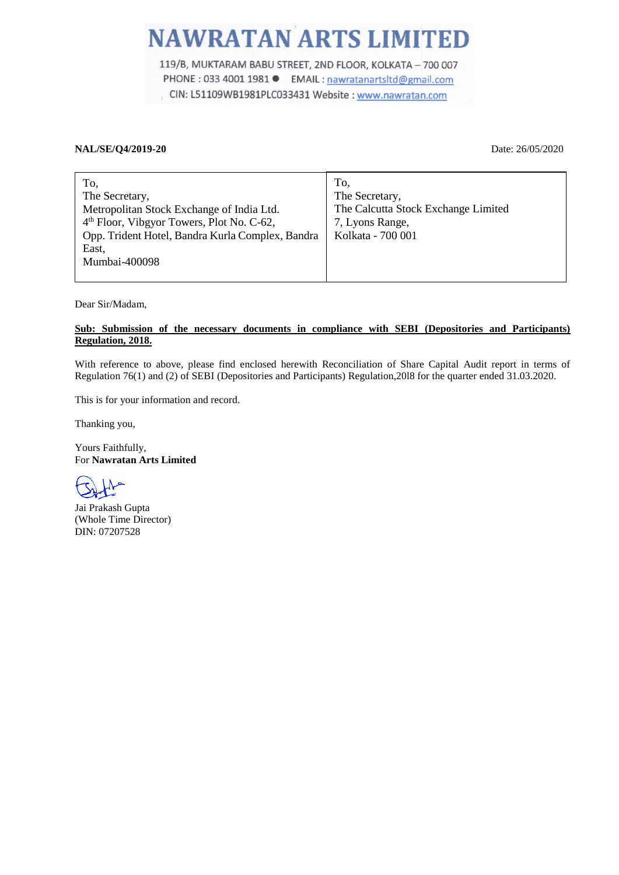## **NAWRATAN ARTS LIMITED**

119/B, MUKTARAM BABU STREET, 2ND FLOOR, KOLKATA - 700 007 PHONE : 033 4001 1981 ● EMAIL : nawratanartsltd@gmail.com CIN: L51109WB1981PLC033431 Website : www.nawratan.com

## **NAL/SE/Q4/2019-20** Date: 26/05/2020

| To,                                                   | To,                                 |
|-------------------------------------------------------|-------------------------------------|
| The Secretary,                                        | The Secretary,                      |
| Metropolitan Stock Exchange of India Ltd.             | The Calcutta Stock Exchange Limited |
| 4 <sup>th</sup> Floor, Vibgyor Towers, Plot No. C-62, | 7, Lyons Range,                     |
| Opp. Trident Hotel, Bandra Kurla Complex, Bandra      | Kolkata - 700 001                   |
| East,                                                 |                                     |
| Mumbai-400098                                         |                                     |
|                                                       |                                     |

Dear Sir/Madam,

## **Sub: Submission of the necessary documents in compliance with SEBI (Depositories and Participants) Regulation, 2018.**

With reference to above, please find enclosed herewith Reconciliation of Share Capital Audit report in terms of Regulation 76(1) and (2) of SEBI (Depositories and Participants) Regulation,20l8 for the quarter ended 31.03.2020.

This is for your information and record.

Thanking you,

Yours Faithfully, For **Nawratan Arts Limited**

Jai Prakash Gupta (Whole Time Director) DIN: 07207528